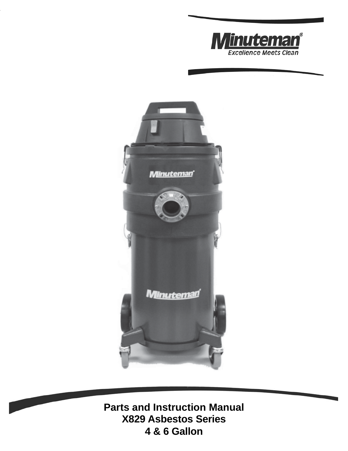



**Parts and Instruction Manual X829 Asbestos Series 4 & 6 Gallon**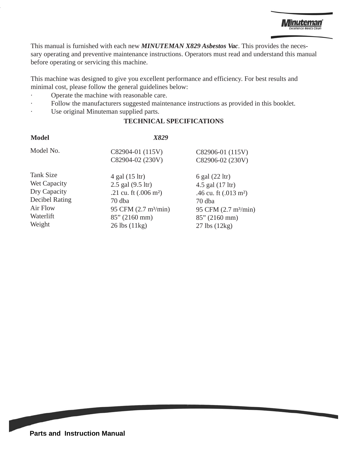This manual is furnished with each new *MINUTEMAN X829 Asbestos Vac*. This provides the necessary operating and preventive maintenance instructions. Operators must read and understand this manual before operating or servicing this machine.

This machine was designed to give you excellent performance and efficiency. For best results and minimal cost, please follow the general guidelines below:

- · Operate the machine with reasonable care.
- Follow the manufacturers suggested maintenance instructions as provided in this booklet.
- Use original Minuteman supplied parts.

#### **TECHNICAL SPECIFICATIONS**

#### **Model** *X829*

|                       | C82904-02 (230V)                 | C82906-02 (230V)                  |
|-----------------------|----------------------------------|-----------------------------------|
| Tank Size             | 4 gal (15 ltr)                   | 6 gal (22 ltr)                    |
| Wet Capacity          | 2.5 gal (9.5 ltr)                | 4.5 gal (17 ltr)                  |
| Dry Capacity          | .21 cu. ft $(.006 \text{ m}^2)$  | .46 cu. ft (.013 m <sup>2</sup> ) |
| <b>Decibel Rating</b> | 70 dba                           | 70 dba                            |
| Air Flow              | 95 CFM (2.7 m <sup>3</sup> /min) | 95 CFM (2.7 m <sup>3</sup> /min)  |
| Waterlift             | $85''(2160 \text{ mm})$          | $85''(2160 \text{ mm})$           |
| Weight                | 26 lbs (11kg)                    | $27$ lbs $(12kg)$                 |

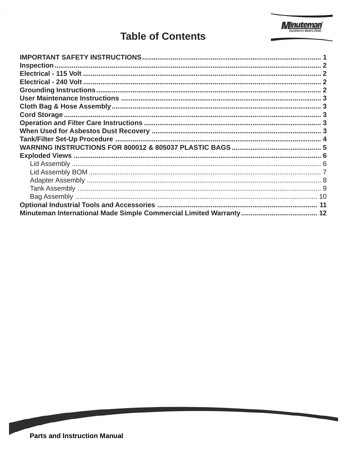

### **Table of Contents**

**CONTRACTOR**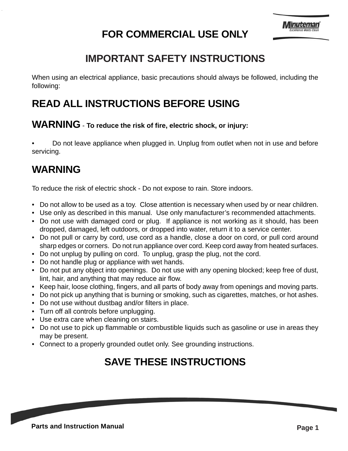# **FOR COMMERCIAL USE ONLY**

#### **IMPORTANT SAFETY INSTRUCTIONS**

When using an electrical appliance, basic precautions should always be followed, including the following:

# **READ ALL INSTRUCTIONS BEFORE USING**

#### **WARNING** - **To reduce the risk of fire, electric shock, or injury:**

• Do not leave appliance when plugged in. Unplug from outlet when not in use and before servicing.

# **WARNING**

To reduce the risk of electric shock - Do not expose to rain. Store indoors.

- Do not allow to be used as a toy. Close attention is necessary when used by or near children.
- Use only as described in this manual. Use only manufacturer's recommended attachments.
- Do not use with damaged cord or plug. If appliance is not working as it should, has been dropped, damaged, left outdoors, or dropped into water, return it to a service center.
- Do not pull or carry by cord, use cord as a handle, close a door on cord, or pull cord around sharp edges or corners. Do not run appliance over cord. Keep cord away from heated surfaces.
- Do not unplug by pulling on cord. To unplug, grasp the plug, not the cord.
- Do not handle plug or appliance with wet hands.
- Do not put any object into openings. Do not use with any opening blocked; keep free of dust, lint, hair, and anything that may reduce air flow.
- Keep hair, loose clothing, fingers, and all parts of body away from openings and moving parts.
- Do not pick up anything that is burning or smoking, such as cigarettes, matches, or hot ashes.
- Do not use without dustbag and/or filters in place.
- Turn off all controls before unplugging.
- Use extra care when cleaning on stairs.
- Do not use to pick up flammable or combustible liquids such as gasoline or use in areas they may be present.
- Connect to a properly grounded outlet only. See grounding instructions.

### **SAVE THESE INSTRUCTIONS**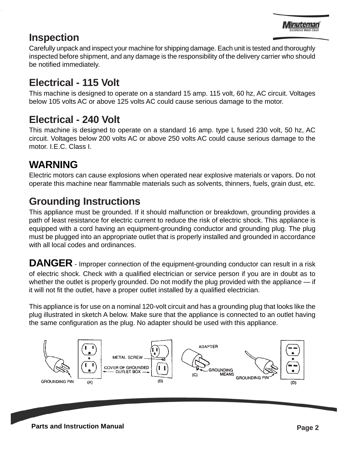#### **Inspection**

Carefully unpack and inspect your machine for shipping damage. Each unit is tested and thoroughly inspected before shipment, and any damage is the responsibility of the delivery carrier who should be notified immediately.

# **Electrical - 115 Volt**

This machine is designed to operate on a standard 15 amp. 115 volt, 60 hz, AC circuit. Voltages below 105 volts AC or above 125 volts AC could cause serious damage to the motor.

### **Electrical - 240 Volt**

This machine is designed to operate on a standard 16 amp. type L fused 230 volt, 50 hz, AC circuit. Voltages below 200 volts AC or above 250 volts AC could cause serious damage to the motor. I.E.C. Class I.

### **WARNING**

Electric motors can cause explosions when operated near explosive materials or vapors. Do not operate this machine near flammable materials such as solvents, thinners, fuels, grain dust, etc.

# **Grounding Instructions**

This appliance must be grounded. If it should malfunction or breakdown, grounding provides a path of least resistance for electric current to reduce the risk of electric shock. This appliance is equipped with a cord having an equipment-grounding conductor and grounding plug. The plug must be plugged into an appropriate outlet that is properly installed and grounded in accordance with all local codes and ordinances.

**DANGER** - Improper connection of the equipment-grounding conductor can result in a risk of electric shock. Check with a qualified electrician or service person if you are in doubt as to whether the outlet is properly grounded. Do not modify the plug provided with the appliance — if it will not fit the outlet, have a proper outlet installed by a qualified electrician.

This appliance is for use on a nominal 120-volt circuit and has a grounding plug that looks like the plug illustrated in sketch A below. Make sure that the appliance is connected to an outlet having the same configuration as the plug. No adapter should be used with this appliance.

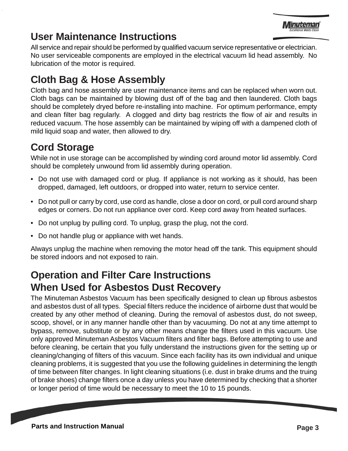

#### **User Maintenance Instructions**

All service and repair should be performed by qualified vacuum service representative or electrician. No user serviceable components are employed in the electrical vacuum lid head assembly. No lubrication of the motor is required.

# **Cloth Bag & Hose Assembly**

Cloth bag and hose assembly are user maintenance items and can be replaced when worn out. Cloth bags can be maintained by blowing dust off of the bag and then laundered. Cloth bags should be completely dryed before re-installing into machine. For optimum performance, empty and clean filter bag regularly. A clogged and dirty bag restricts the flow of air and results in reduced vacuum. The hose assembly can be maintained by wiping off with a dampened cloth of mild liquid soap and water, then allowed to dry.

# **Cord Storage**

While not in use storage can be accomplished by winding cord around motor lid assembly. Cord should be completely unwound from lid assembly during operation.

- Do not use with damaged cord or plug. If appliance is not working as it should, has been dropped, damaged, left outdoors, or dropped into water, return to service center.
- Do not pull or carry by cord, use cord as handle, close a door on cord, or pull cord around sharp edges or corners. Do not run appliance over cord. Keep cord away from heated surfaces.
- Do not unplug by pulling cord. To unplug, grasp the plug, not the cord.
- Do not handle plug or appliance with wet hands.

Always unplug the machine when removing the motor head off the tank. This equipment should be stored indoors and not exposed to rain.

#### **Operation and Filter Care Instructions When Used for Asbestos Dust Recovery**

The Minuteman Asbestos Vacuum has been specifically designed to clean up fibrous asbestos and asbestos dust of all types. Special filters reduce the incidence of airborne dust that would be created by any other method of cleaning. During the removal of asbestos dust, do not sweep, scoop, shovel, or in any manner handle other than by vacuuming. Do not at any time attempt to bypass, remove, substitute or by any other means change the filters used in this vacuum. Use only approved Minuteman Asbestos Vacuum filters and filter bags. Before attempting to use and before cleaning, be certain that you fully understand the instructions given for the setting up or cleaning/changing of filters of this vacuum. Since each facility has its own individual and unique cleaning problems, it is suggested that you use the following guidelines in determining the length of time between filter changes. In light cleaning situations (i.e. dust in brake drums and the truing of brake shoes) change filters once a day unless you have determined by checking that a shorter or longer period of time would be necessary to meet the 10 to 15 pounds.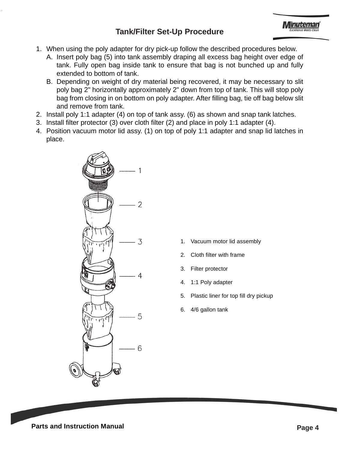#### **Tank/Filter Set-Up Procedure**

- 1. When using the poly adapter for dry pick-up follow the described procedures below.
	- A. Insert poly bag (5) into tank assembly draping all excess bag height over edge of tank. Fully open bag inside tank to ensure that bag is not bunched up and fully extended to bottom of tank.
	- B. Depending on weight of dry material being recovered, it may be necessary to slit poly bag 2" horizontally approximately 2" down from top of tank. This will stop poly bag from closing in on bottom on poly adapter. After filling bag, tie off bag below slit and remove from tank.
- 2. Install poly 1:1 adapter (4) on top of tank assy. (6) as shown and snap tank latches.
- 3. Install filter protector (3) over cloth filter (2) and place in poly 1:1 adapter (4).
- 4. Position vacuum motor lid assy. (1) on top of poly 1:1 adapter and snap lid latches in place.



- 1. Vacuum motor lid assembly
- 2. Cloth filter with frame
- 3. Filter protector
- 4. 1:1 Poly adapter
- 5. Plastic liner for top fill dry pickup
- 6. 4/6 gallon tank

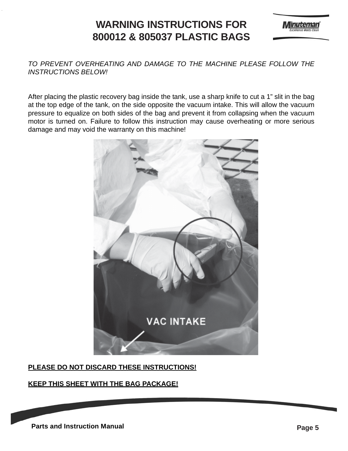#### **WARNING INSTRUCTIONS FOR 800012 & 805037 PLASTIC BAGS**



#### *TO PREVENT OVERHEATING AND DAMAGE TO THE MACHINE PLEASE FOLLOW THE INSTRUCTIONS BELOW!*

After placing the plastic recovery bag inside the tank, use a sharp knife to cut a 1" slit in the bag at the top edge of the tank, on the side opposite the vacuum intake. This will allow the vacuum pressure to equalize on both sides of the bag and prevent it from collapsing when the vacuum motor is turned on. Failure to follow this instruction may cause overheating or more serious damage and may void the warranty on this machine!



#### **PLEASE DO NOT DISCARD THESE INSTRUCTIONS!**

#### **KEEP THIS SHEET WITH THE BAG PACKAGE!**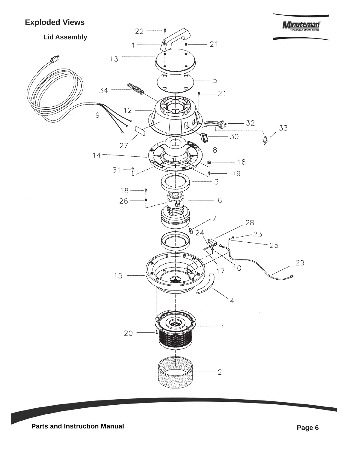#### **Exploded Views**

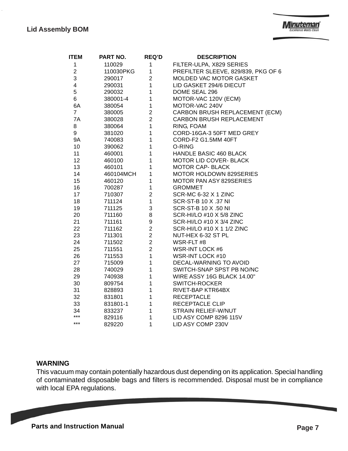| <b>ITEM</b>    | PART NO.  | <b>REQ'D</b>     | <b>DESCRIPTION</b>                  |
|----------------|-----------|------------------|-------------------------------------|
| 1              | 110029    | 1                | FILTER-ULPA, X829 SERIES            |
| $\overline{2}$ | 110030PKG | 1                | PREFILTER SLEEVE, 829/839, PKG OF 6 |
| 3              | 290017    | $\overline{c}$   | MOLDED VAC MOTOR GASKET             |
| 4              | 290031    | $\mathbf 1$      | LID GASKET 294/6 DIECUT             |
| 5              | 290032    | 1                | DOME SEAL 296                       |
| 6              | 380001-4  | 1                | MOTOR-VAC 120V (ECM)                |
| 6A             | 380054    | 1                | MOTOR-VAC 240V                      |
| $\overline{7}$ | 380005    | $\overline{c}$   | CARBON BRUSH REPLACEMENT (ECM)      |
| 7A             | 380028    | $\overline{2}$   | CARBON BRUSH REPLACEMENT            |
| 8              | 380064    | 1                | RING, FOAM                          |
| 9              | 381020    | 1                | CORD-16GA-3 50FT MED GREY           |
| <b>9A</b>      | 740083    | 1                | CORD-F2 G1.5MM 40FT                 |
| 10             | 390062    | 1                | O-RING                              |
| 11             | 460001    | 1                | HANDLE BASIC 460 BLACK              |
| 12             | 460100    | 1                | MOTOR LID COVER- BLACK              |
| 13             | 460101    | 1                | <b>MOTOR CAP- BLACK</b>             |
| 14             | 460104MCH | 1                | <b>MOTOR HOLDOWN 829SERIES</b>      |
| 15             | 460120    | 1                | MOTOR PAN ASY 829SERIES             |
| 16             | 700287    | 1                | <b>GROMMET</b>                      |
| 17             | 710307    | $\boldsymbol{2}$ | SCR-MC 6-32 X 1 ZINC                |
| 18             | 711124    | $\mathbf{1}$     | <b>SCR-ST-B 10 X .37 NI</b>         |
| 19             | 711125    | 3                | <b>SCR-ST-B 10 X .50 NI</b>         |
| 20             | 711160    | 8                | SCR-HI/LO #10 X 5/8 ZINC            |
| 21             | 711161    | 9                | SCR-HI/LO #10 X 3/4 ZINC            |
| 22             | 711162    | 2                | SCR-HI/LO #10 X 1 1/2 ZINC          |
| 23             | 711301    | $\overline{c}$   | NUT-HEX 6-32 ST PL                  |
| 24             | 711502    | $\overline{2}$   | WSR-FLT#8                           |
| 25             | 711551    | $\overline{2}$   | WSR-INT LOCK #6                     |
| 26             | 711553    | $\mathbf{1}$     | WSR-INT LOCK #10                    |
| 27             | 715009    | $\mathbf 1$      | DECAL-WARNING TO AVOID              |
| 28             | 740029    | $\mathbf 1$      | SWITCH-SNAP SPST PB NO/NC           |
| 29             | 740938    | $\mathbf 1$      | WIRE ASSY 16G BLACK 14.00"          |
| 30             | 809754    | 1                | <b>SWITCH-ROCKER</b>                |
| 31             | 828893    | 1                | RIVET-BAP KTR64BX                   |
| 32             | 831801    | 1                | <b>RECEPTACLE</b>                   |
| 33             | 831801-1  | $\mathbf{1}$     | RECEPTACLE CLIP                     |
| 34             | 833237    | $\overline{1}$   | <b>STRAIN RELIEF-W/NUT</b>          |
| ***            | 829116    | 1                | LID ASY COMP 8296 115V              |
| ***            | 829220    | 1                | LID ASY COMP 230V                   |

#### **WARNING**

This vacuum may contain potentially hazardous dust depending on its application. Special handling of contaminated disposable bags and filters is recommended. Disposal must be in compliance with local EPA regulations.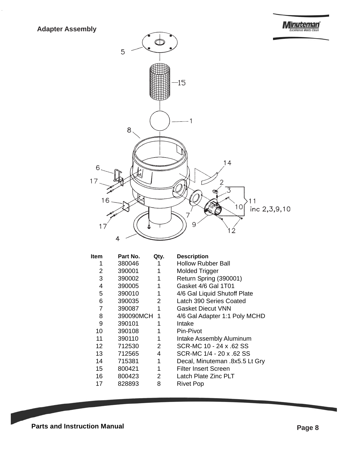

| Part No. |           | <b>Description</b>             |
|----------|-----------|--------------------------------|
| 380046   |           | <b>Hollow Rubber Ball</b>      |
| 390001   |           | <b>Molded Trigger</b>          |
| 390002   | 1         | Return Spring (390001)         |
| 390005   | 1         | Gasket 4/6 Gal 1T01            |
| 390010   | 1         | 4/6 Gal Liquid Shutoff Plate   |
| 390035   | 2         | Latch 390 Series Coated        |
| 390087   | 1         | <b>Gasket Diecut VNN</b>       |
|          | 1         | 4/6 Gal Adapter 1:1 Poly MCHD  |
| 390101   | 1         | Intake                         |
| 390108   | 1         | Pin-Pivot                      |
| 390110   | 1         | Intake Assembly Aluminum       |
| 712530   | 2         | SCR-MC 10 - 24 x .62 SS        |
| 712565   | 4         | SCR-MC 1/4 - 20 x 62 SS        |
| 715381   | 1         | Decal, Minuteman .8x5.5 Lt Gry |
| 800421   | 1         | <b>Filter Insert Screen</b>    |
| 800423   | 2         | Latch Plate Zinc PLT           |
| 828893   | 8         | Rivet Pop                      |
|          | 390090MCH | Qty.                           |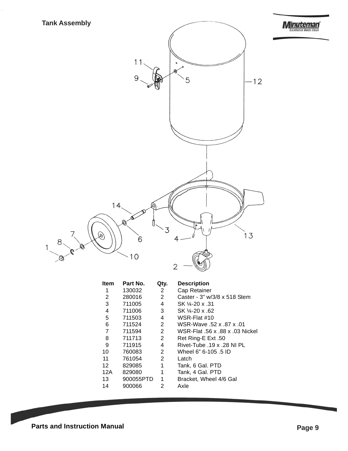



| Item | Part No.  | Qtv. | <b>Description</b>              |
|------|-----------|------|---------------------------------|
| 1    | 130032    | 2    | Cap Retainer                    |
| 2    | 280016    | 2    | Caster - 3" w/3/8 x 518 Stem    |
| 3    | 711005    | 4    | SK 1/4-20 x .31                 |
| 4    | 711006    | 3    | SK 14-20 x 62                   |
| 5    | 711503    | 4    | WSR-Flat #10                    |
| 6    | 711524    | 2    | WSR-Wave 52 x 87 x 01           |
| 7    | 711594    | 2    | WSR-Flat .56 x .88 x .03 Nickel |
| 8    | 711713    | 2    | Ret Ring-E Ext .50              |
| 9    | 711915    | 4    | Rivet-Tube 19 x 28 NI PL        |
| 10   | 760083    | 2    | Wheel 6" 6-105 .5 ID            |
| 11   | 761054    | 2    | Latch                           |
| 12   | 829085    | 1    | Tank, 6 Gal. PTD                |
| 12A  | 829080    | 1    | Tank, 4 Gal. PTD                |
| 13   | 900055PTD | 1    | Bracket, Wheel 4/6 Gal          |
| 14   | 900066    | 2    | Axle                            |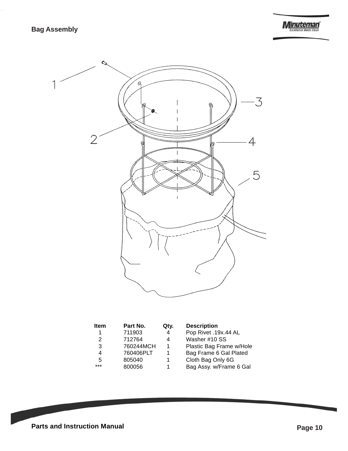**Minuteman** 



| <b>Item</b> | Part No.  | Qty. | <b>Description</b> |
|-------------|-----------|------|--------------------|
|             | 711903    | 4    | Pop Rivet .1       |
| 2           | 712764    | 4    | Washer #10         |
| 3           | 760244MCH | 1    | Plastic Bag I      |
| 4           | 760406PLT |      | Bag Frame 6        |
| 5           | 805040    |      | Cloth Bag O        |
| $***$       | 800056    |      | Bag Assy. w/       |
|             |           |      |                    |

| <b>Description</b> |  |  |
|--------------------|--|--|
|                    |  |  |

**p Rivet .19x.44 AL** sher #10 SS stic Bag Frame w/Hole g Frame 6 Gal Plated oth Bag Only 6G g Assy. w/Frame 6 Gal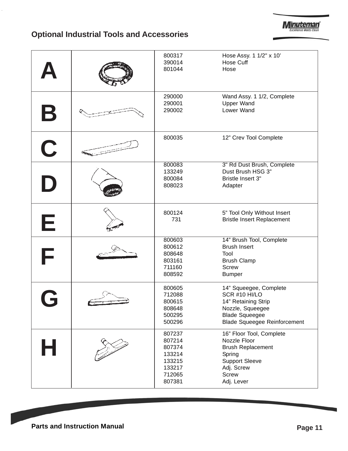

### **Optional Industrial Tools and Accessories**

|             | 800317<br>390014<br>801044                                                   | Hose Assy. 1 1/2" x 10'<br>Hose Cuff<br>Hose                                                                                                        |
|-------------|------------------------------------------------------------------------------|-----------------------------------------------------------------------------------------------------------------------------------------------------|
| $\mathbf B$ | 290000<br>290001<br>290002                                                   | Wand Assy. 1 1/2, Complete<br><b>Upper Wand</b><br>Lower Wand                                                                                       |
| $\mathbf C$ | 800035                                                                       | 12" Crev Tool Complete                                                                                                                              |
|             | 800083<br>133249<br>800084<br>808023                                         | 3" Rd Dust Brush, Complete<br>Dust Brush HSG 3"<br>Bristle Insert 3"<br>Adapter                                                                     |
| Е           | 800124<br>731                                                                | 5" Tool Only Without Insert<br><b>Bristle Insert Replacement</b>                                                                                    |
| F           | 800603<br>800612<br>808648<br>803161<br>711160<br>808592                     | 14" Brush Tool, Complete<br><b>Brush Insert</b><br>Tool<br><b>Brush Clamp</b><br><b>Screw</b><br><b>Bumper</b>                                      |
|             | 800605<br>712088<br>800615<br>808648<br>500295<br>500296                     | 14" Squeegee, Complete<br>SCR #10 HI/LO<br>14" Retaining Strip<br>Nozzle, Squeegee<br><b>Blade Squeegee</b><br><b>Blade Squeegee Reinforcement</b>  |
| Н           | 807237<br>807214<br>807374<br>133214<br>133215<br>133217<br>712065<br>807381 | 16" Floor Tool, Complete<br>Nozzle Floor<br><b>Brush Replacement</b><br>Spring<br><b>Support Sleeve</b><br>Adj. Screw<br><b>Screw</b><br>Adj. Lever |